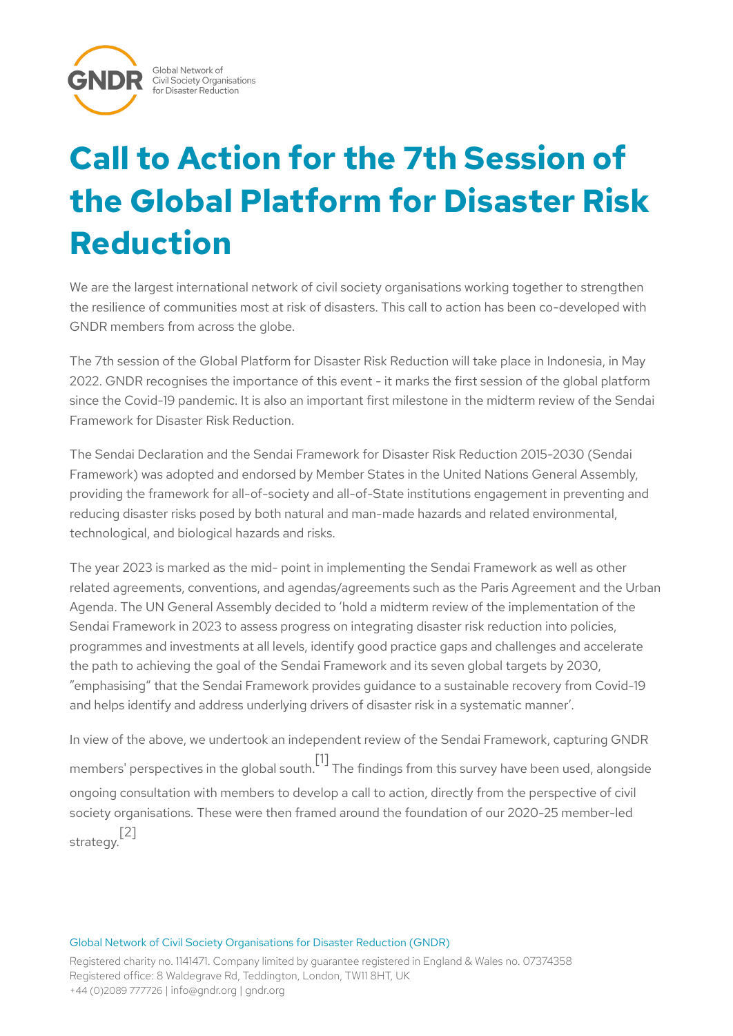

# **Call to Action for the 7th Session of the Global Platform for Disaster Risk Reduction**

We are the largest international network of civil society organisations working together to strengthen the resilience of communities most at risk of disasters. This call to action has been co-developed with GNDR members from across the globe.

The 7th session of the Global Platform for Disaster Risk Reduction will take place in Indonesia, in May 2022. GNDR recognises the importance of this event - it marks the first session of the global platform since the Covid-19 pandemic. It is also an important first milestone in the midterm review of the Sendai Framework for Disaster Risk Reduction.

The Sendai Declaration and the Sendai Framework for Disaster Risk Reduction 2015-2030 (Sendai Framework) was adopted and endorsed by Member States in the United Nations General Assembly, providing the framework for all-of-society and all-of-State institutions engagement in preventing and reducing disaster risks posed by both natural and man-made hazards and related environmental, technological, and biological hazards and risks.

The year 2023 is marked as the mid- point in implementing the Sendai Framework as well as other related agreements, conventions, and agendas/agreements such as the Paris Agreement and the Urban Agenda. The UN General Assembly decided to 'hold a midterm review of the implementation of the Sendai Framework in 2023 to assess progress on integrating disaster risk reduction into policies, programmes and investments at all levels, identify good practice gaps and challenges and accelerate the path to achieving the goal of the Sendai Framework and its seven global targets by 2030, "emphasising" that the Sendai Framework provides guidance to a sustainable recovery from Covid-19 and helps identify and address underlying drivers of disaster risk in a systematic manner'.

In view of the above, we undertook an independent review of the Sendai Framework, capturing GNDR members' perspectives in the global south. [1] The findings from this survey have been used, alongside ongoing consultation with members to develop a call to action, directly from the perspective of civil society organisations. These were then framed around the foundation of our 2020-25 member-led strategy. [2]

#### Global Network of Civil Society Organisations for Disaster Reduction (GNDR)

Registered charity no. 1141471. Company limited by guarantee registered in England & Wales no. 07374358 Registered office: 8 Waldegrave Rd, Teddington, London, TW11 8HT, UK +44 (0)2089 777726 | info@gndr.org | gndr.org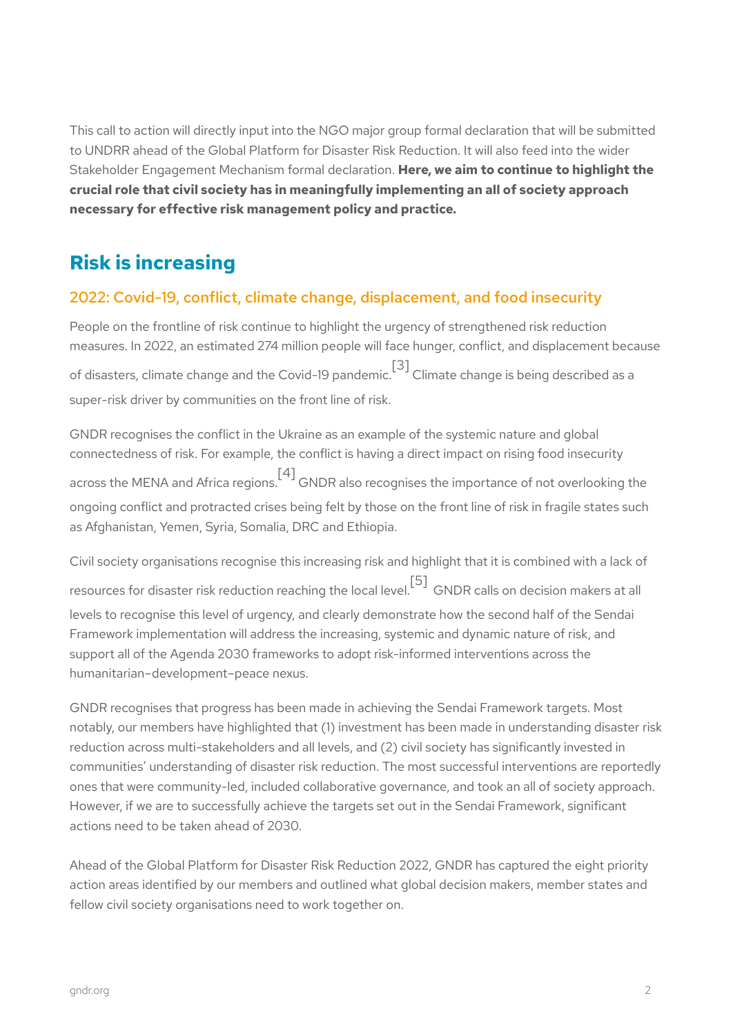This call to action will directly input into the NGO major group formal declaration that will be submitted to UNDRR ahead of the Global Platform for Disaster Risk Reduction. It will also feed into the wider Stakeholder Engagement Mechanism formal declaration. **Here, we aim to continue to highlight the crucial role that civil society has in meaningfully implementing an all of society approach necessary for effective risk management policy and practice.**

# **Risk is increasing**

# 2022: Covid-19, conflict, climate change, displacement, and food insecurity

People on the frontline of risk continue to highlight the urgency of strengthened risk reduction measures. In 2022, an estimated 274 million people will face hunger, conflict, and displacement because of disasters, climate change and the Covid-19 pandemic.  $\left[^3\right]$  Climate change is being described as a super-risk driver by communities on the front line of risk.

GNDR recognises the conflict in the Ukraine as an example of the systemic nature and global connectedness of risk. For example, the conflict is having a direct impact on rising food insecurity across the MENA and Africa regions. [4] GNDR also recognises the importance of not overlooking the ongoing conflict and protracted crises being felt by those on the front line of risk in fragile states such as Afghanistan, Yemen, Syria, Somalia, DRC and Ethiopia.

Civil society organisations recognise this increasing risk and highlight that it is combined with a lack of resources for disaster risk reduction reaching the local level. [5] GNDR calls on decision makers at all levels to recognise this level of urgency, and clearly demonstrate how the second half of the Sendai Framework implementation will address the increasing, systemic and dynamic nature of risk, and support all of the Agenda 2030 frameworks to adopt risk-informed interventions across the humanitarian–development–peace nexus.

GNDR recognises that progress has been made in achieving the Sendai Framework targets. Most notably, our members have highlighted that (1) investment has been made in understanding disaster risk reduction across multi-stakeholders and all levels, and (2) civil society has significantly invested in communities' understanding of disaster risk reduction. The most successful interventions are reportedly ones that were community-led, included collaborative governance, and took an all of society approach. However, if we are to successfully achieve the targets set out in the Sendai Framework, significant actions need to be taken ahead of 2030.

Ahead of the Global Platform for Disaster Risk Reduction 2022, GNDR has captured the eight priority action areas identified by our members and outlined what global decision makers, member states and fellow civil society organisations need to work together on.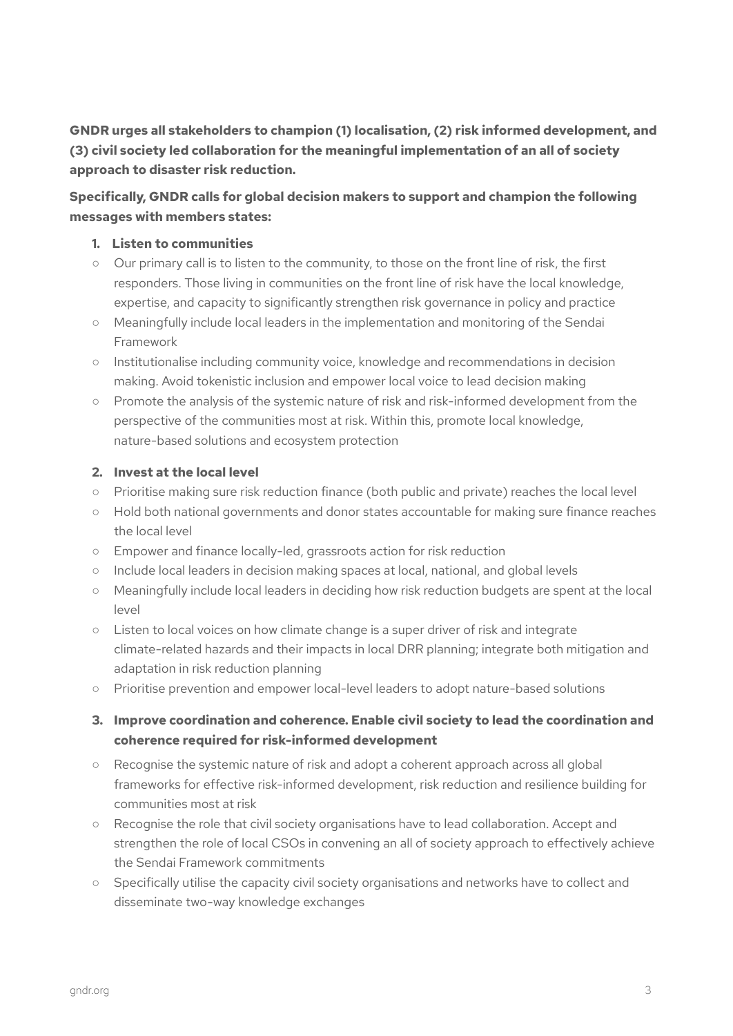**GNDR urges all stakeholders to champion (1) localisation, (2) risk informed development, and (3) civil society led collaboration for the meaningful implementation of an all of society approach to disaster risk reduction.**

# **Specifically, GNDR calls for global decision makers to support and champion the following messages with members states:**

#### **1. Listen to communities**

- Our primary call is to listen to the community, to those on the front line of risk, the first responders. Those living in communities on the front line of risk have the local knowledge, expertise, and capacity to significantly strengthen risk governance in policy and practice
- Meaningfully include local leaders in the implementation and monitoring of the Sendai Framework
- Institutionalise including community voice, knowledge and recommendations in decision making. Avoid tokenistic inclusion and empower local voice to lead decision making
- Promote the analysis of the systemic nature of risk and risk-informed development from the perspective of the communities most at risk. Within this, promote local knowledge, nature-based solutions and ecosystem protection

#### **2. Invest at the local level**

- Prioritise making sure risk reduction finance (both public and private) reaches the local level
- Hold both national governments and donor states accountable for making sure finance reaches the local level
- Empower and finance locally-led, grassroots action for risk reduction
- Include local leaders in decision making spaces at local, national, and global levels
- Meaningfully include local leaders in deciding how risk reduction budgets are spent at the local level
- Listen to local voices on how climate change is a super driver of risk and integrate climate-related hazards and their impacts in local DRR planning; integrate both mitigation and adaptation in risk reduction planning
- Prioritise prevention and empower local-level leaders to adopt nature-based solutions

# **3. Improve coordination and coherence. Enable civil society to lead the coordination and coherence required for risk-informed development**

- Recognise the systemic nature of risk and adopt a coherent approach across all global frameworks for effective risk-informed development, risk reduction and resilience building for communities most at risk
- Recognise the role that civil society organisations have to lead collaboration. Accept and strengthen the role of local CSOs in convening an all of society approach to effectively achieve the Sendai Framework commitments
- Specifically utilise the capacity civil society organisations and networks have to collect and disseminate two-way knowledge exchanges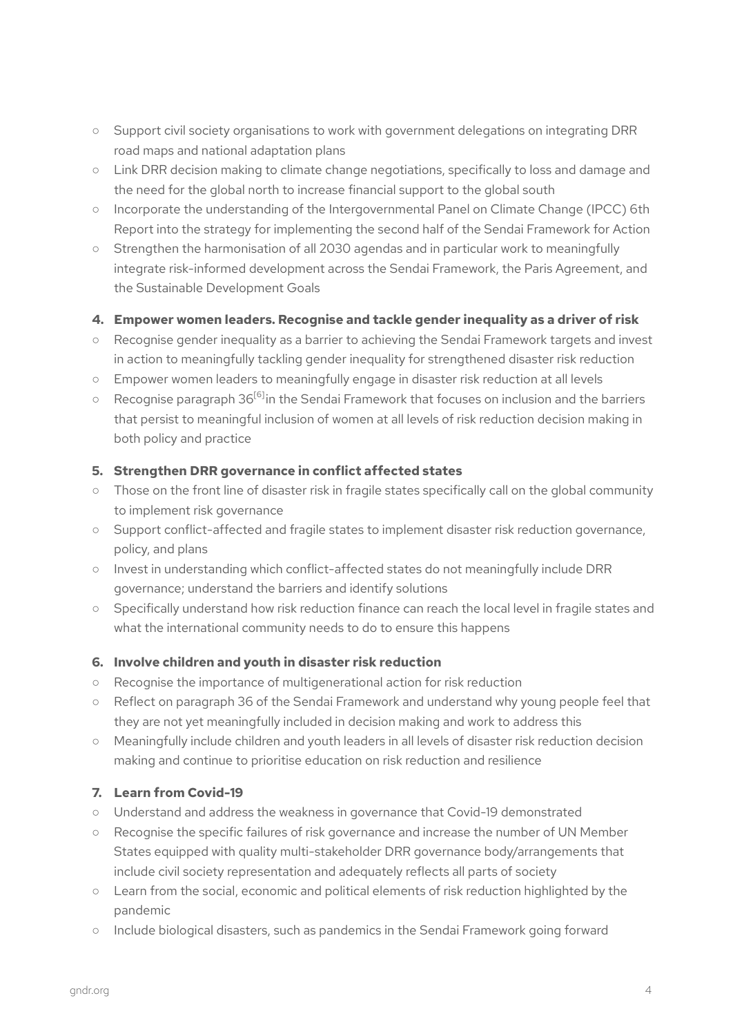- Support civil society organisations to work with government delegations on integrating DRR road maps and national adaptation plans
- Link DRR decision making to climate change negotiations, specifically to loss and damage and the need for the global north to increase financial support to the global south
- Incorporate the understanding of the Intergovernmental Panel on Climate Change (IPCC) 6th Report into the strategy for implementing the second half of the Sendai Framework for Action
- Strengthen the harmonisation of all 2030 agendas and in particular work to meaningfully integrate risk-informed development across the Sendai Framework, the Paris Agreement, and the Sustainable Development Goals

# **4. Empower women leaders. Recognise and tackle gender inequality as a driver of risk**

- Recognise gender inequality as a barrier to achieving the Sendai Framework targets and invest in action to meaningfully tackling gender inequality for strengthened disaster risk reduction
- Empower women leaders to meaningfully engage in disaster risk reduction at all levels
- $\circ$  Recognise paragraph 36 $^{[6]}$ in the Sendai Framework that focuses on inclusion and the barriers that persist to meaningful inclusion of women at all levels of risk reduction decision making in both policy and practice

# **5. Strengthen DRR governance in conflict affected states**

- Those on the front line of disaster risk in fragile states specifically call on the global community to implement risk governance
- Support conflict-affected and fragile states to implement disaster risk reduction governance, policy, and plans
- Invest in understanding which conflict-affected states do not meaningfully include DRR governance; understand the barriers and identify solutions
- Specifically understand how risk reduction finance can reach the local level in fragile states and what the international community needs to do to ensure this happens

#### **6. Involve children and youth in disaster risk reduction**

- Recognise the importance of multigenerational action for risk reduction
- Reflect on paragraph 36 of the Sendai Framework and understand why young people feel that they are not yet meaningfully included in decision making and work to address this
- Meaningfully include children and youth leaders in all levels of disaster risk reduction decision making and continue to prioritise education on risk reduction and resilience

# **7. Learn from Covid-19**

- Understand and address the weakness in governance that Covid-19 demonstrated
- Recognise the specific failures of risk governance and increase the number of UN Member States equipped with quality multi-stakeholder DRR governance body/arrangements that include civil society representation and adequately reflects all parts of society
- Learn from the social, economic and political elements of risk reduction highlighted by the pandemic
- Include biological disasters, such as pandemics in the Sendai Framework going forward